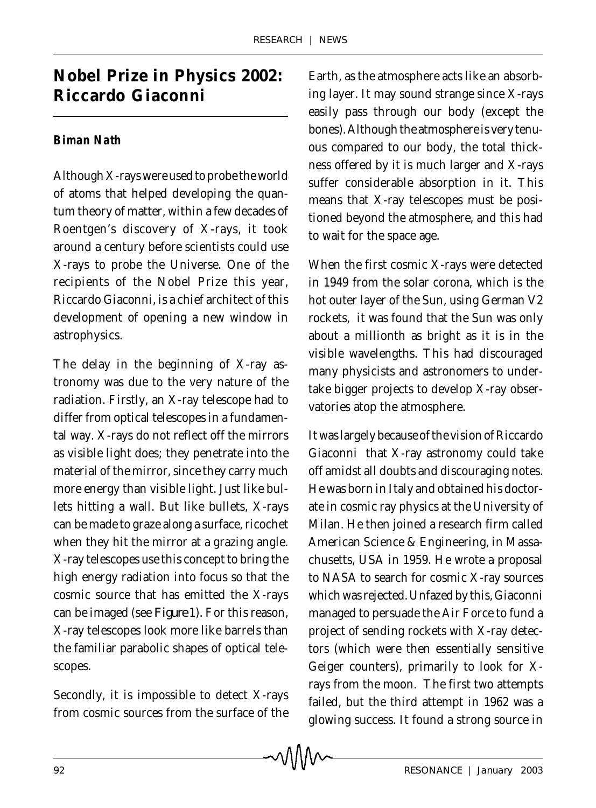## **Nobel Prize in Physics 2002: Riccardo Giaconni**

## *Biman Nath*

Although X-rays were used to probe the world of atoms that helped developing the quantum theory of matter, within a few decades of Roentgen's discovery of X-rays, it took around a century before scientists could use X-rays to probe the Universe. One of the recipients of the Nobel Prize this year, Riccardo Giaconni, is a chief architect of this development of opening a new window in astrophysics.

The delay in the beginning of X-ray astronomy was due to the very nature of the radiation. Firstly, an X-ray telescope had to differ from optical telescopes in a fundamental way. X-rays do not reflect off the mirrors as visible light does; they penetrate into the material of the mirror, since they carry much more energy than visible light. Just like bullets hitting a wall. But like bullets, X-rays can be made to graze along a surface, ricochet when they hit the mirror at a grazing angle. X-ray telescopes use this concept to bring the high energy radiation into focus so that the cosmic source that has emitted the X-rays can be imaged (see *Figure* 1). For this reason, X-ray telescopes look more like barrels than the familiar parabolic shapes of optical telescopes.

Secondly, it is impossible to detect X-rays from cosmic sources from the surface of the

Earth, as the atmosphere acts like an absorbing layer. It may sound strange since X-rays easily pass through our body (except the bones). Although the atmosphere is very tenuous compared to our body, the total thickness offered by it is much larger and X-rays suffer considerable absorption in it. This means that X-ray telescopes must be positioned beyond the atmosphere, and this had to wait for the space age.

When the first cosmic X-rays were detected in 1949 from the solar corona, which is the hot outer layer of the Sun, using German V2 rockets, it was found that the Sun was only about a millionth as bright as it is in the visible wavelengths. This had discouraged many physicists and astronomers to undertake bigger projects to develop X-ray observatories atop the atmosphere.

It was largely because of the vision of Riccardo Giaconni that X-ray astronomy could take off amidst all doubts and discouraging notes. He was born in Italy and obtained his doctorate in cosmic ray physics at the University of Milan. He then joined a research firm called American Science & Engineering, in Massachusetts, USA in 1959. He wrote a proposal to NASA to search for cosmic X-ray sources which was rejected. Unfazed by this, Giaconni managed to persuade the Air Force to fund a project of sending rockets with X-ray detectors (which were then essentially sensitive Geiger counters), primarily to look for Xrays from the moon. The first two attempts failed, but the third attempt in 1962 was a glowing success. It found a strong source in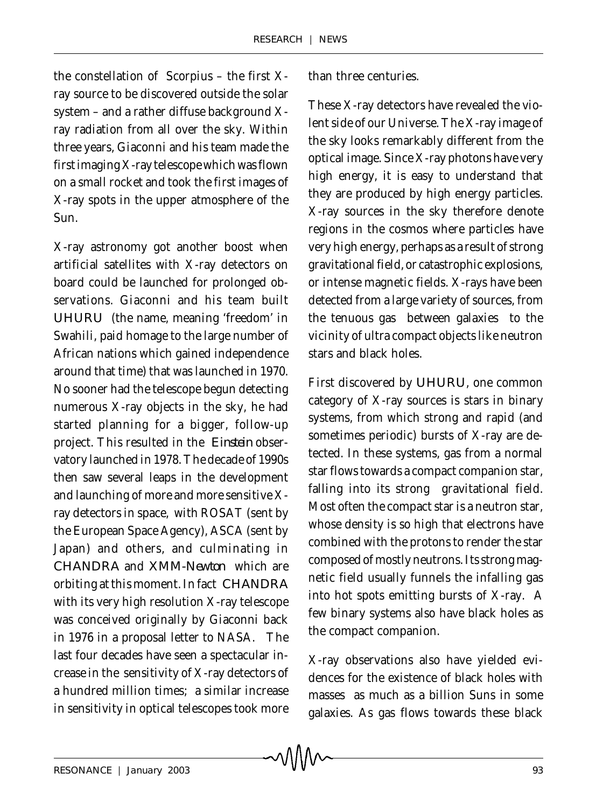the constellation of Scorpius – the first Xray source to be discovered outside the solar system – and a rather diffuse background Xray radiation from all over the sky. Within three years, Giaconni and his team made the first imaging X-ray telescope which was flown on a small rocket and took the first images of X-ray spots in the upper atmosphere of the Sun.

X-ray astronomy got another boost when artificial satellites with X-ray detectors on board could be launched for prolonged observations. Giaconni and his team built *UHURU* (the name, meaning 'freedom' in Swahili, paid homage to the large number of African nations which gained independence around that time) that was launched in 1970. No sooner had the telescope begun detecting numerous X-ray objects in the sky, he had started planning for a bigger, follow-up project. This resulted in the *Einstein* observatory launched in 1978. The decade of 1990s then saw several leaps in the development and launching of more and more sensitive Xray detectors in space, with ROSAT (sent by the European Space Agency), ASCA (sent by Japan) and others, and culminating in *CHANDRA* and *XMM-Newton* which are orbiting at this moment. In fact *CHANDRA* with its very high resolution X-ray telescope was conceived originally by Giaconni back in 1976 in a proposal letter to NASA. The last four decades have seen a spectacular increase in the sensitivity of X-ray detectors of a hundred million times; a similar increase in sensitivity in optical telescopes took more

than three centuries.

These X-ray detectors have revealed the violent side of our Universe. The X-ray image of the sky looks remarkably different from the optical image. Since X-ray photons have very high energy, it is easy to understand that they are produced by high energy particles. X-ray sources in the sky therefore denote regions in the cosmos where particles have very high energy, perhaps as a result of strong gravitational field, or catastrophic explosions, or intense magnetic fields. X-rays have been detected from a large variety of sources, from the tenuous gas between galaxies to the vicinity of ultra compact objects like neutron stars and black holes.

First discovered by *UHURU*, one common category of X-ray sources is stars in binary systems, from which strong and rapid (and sometimes periodic) bursts of X-ray are detected. In these systems, gas from a normal star flows towards a compact companion star, falling into its strong gravitational field. Most often the compact star is a neutron star, whose density is so high that electrons have combined with the protons to render the star composed of mostly neutrons. Its strong magnetic field usually funnels the infalling gas into hot spots emitting bursts of X-ray. A few binary systems also have black holes as the compact companion.

X-ray observations also have yielded evidences for the existence of black holes with masses as much as a billion Suns in some galaxies. As gas flows towards these black